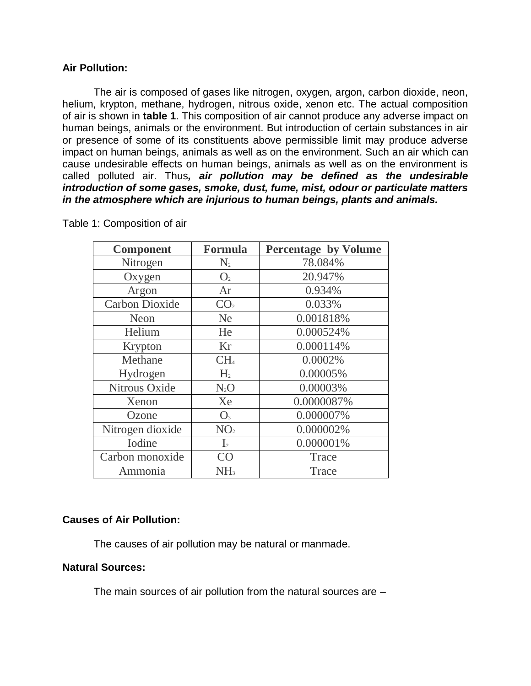## **Air Pollution:**

The air is composed of gases like nitrogen, oxygen, argon, carbon dioxide, neon, helium, krypton, methane, hydrogen, nitrous oxide, xenon etc. The actual composition of air is shown in **table 1**. This composition of air cannot produce any adverse impact on human beings, animals or the environment. But introduction of certain substances in air or presence of some of its constituents above permissible limit may produce adverse impact on human beings, animals as well as on the environment. Such an air which can cause undesirable effects on human beings, animals as well as on the environment is called polluted air. Thus*, air pollution may be defined as the undesirable introduction of some gases, smoke, dust, fume, mist, odour or particulate matters in the atmosphere which are injurious to human beings, plants and animals.*

| <b>Component</b>      | <b>Formula</b>  | <b>Percentage by Volume</b> |
|-----------------------|-----------------|-----------------------------|
| Nitrogen              | $N_{2}$         | 78.084%                     |
| Oxygen                | O <sub>2</sub>  | 20.947%                     |
| Argon                 | Ar              | 0.934%                      |
| <b>Carbon Dioxide</b> | CO <sub>2</sub> | 0.033%                      |
| Neon                  | <b>Ne</b>       | 0.001818%                   |
| Helium                | He              | 0.000524%                   |
| Krypton               | Kr              | 0.000114%                   |
| Methane               | CH <sub>4</sub> | 0.0002%                     |
| Hydrogen              | H <sub>2</sub>  | 0.00005%                    |
| Nitrous Oxide         | $N_2O$          | 0.00003%                    |
| Xenon                 | Xe              | 0.0000087%                  |
| Ozone                 | O <sub>3</sub>  | 0.000007%                   |
| Nitrogen dioxide      | NO <sub>2</sub> | 0.000002%                   |
| Iodine                | I <sub>2</sub>  | 0.000001%                   |
| Carbon monoxide       | CO              | Trace                       |
| Ammonia               | NH <sub>3</sub> | Trace                       |

Table 1: Composition of air

# **Causes of Air Pollution:**

The causes of air pollution may be natural or manmade.

### **Natural Sources:**

The main sources of air pollution from the natural sources are –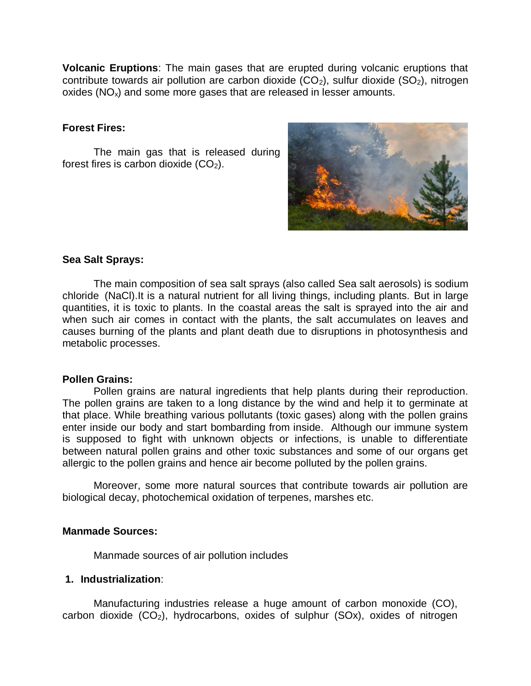**Volcanic Eruptions**: The main gases that are erupted during volcanic eruptions that contribute towards air pollution are carbon dioxide  $(CO_2)$ , sulfur dioxide  $(SO_2)$ , nitrogen oxides ( $NO<sub>x</sub>$ ) and some more gases that are released in lesser amounts.

## **Forest Fires:**

The main gas that is released during forest fires is carbon dioxide  $(CO<sub>2</sub>)$ .



### **Sea Salt Sprays:**

The main composition of sea salt sprays (also called Sea salt aerosols) is sodium chloride (NaCl).It is a natural nutrient for all living things, including plants. But in large quantities, it is toxic to plants. In the coastal areas the salt is sprayed into the air and when such air comes in contact with the plants, the salt accumulates on leaves and causes burning of the plants and plant death due to disruptions in photosynthesis and metabolic processes.

### **Pollen Grains:**

Pollen grains are natural ingredients that help plants during their reproduction. The pollen grains are taken to a long distance by the wind and help it to germinate at that place. While breathing various pollutants (toxic gases) along with the pollen grains enter inside our body and start bombarding from inside. Although our immune system is supposed to fight with unknown objects or infections, is unable to differentiate between natural pollen grains and other toxic substances and some of our organs get allergic to the pollen grains and hence air become polluted by the pollen grains.

Moreover, some more natural sources that contribute towards air pollution are biological decay, photochemical oxidation of terpenes, marshes etc.

# **Manmade Sources:**

Manmade sources of air pollution includes

# **1. Industrialization**:

Manufacturing industries release a huge amount of carbon monoxide (CO), carbon dioxide  $(CO<sub>2</sub>)$ , hydrocarbons, oxides of sulphur  $(SOx)$ , oxides of nitrogen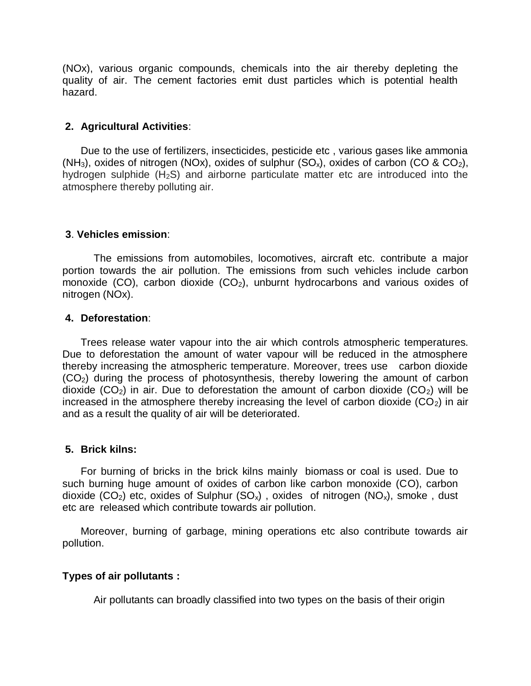(NOx), various organic compounds, chemicals into the air thereby depleting the quality of air. The cement factories emit dust particles which is potential health hazard.

### **2. Agricultural Activities**:

Due to the use of fertilizers, insecticides, pesticide etc , various gases like ammonia (NH<sub>3</sub>), oxides of nitrogen (NOx), oxides of sulphur (SO<sub>x</sub>), oxides of carbon (CO & CO<sub>2</sub>), hydrogen sulphide (H2S) and airborne particulate matter etc are introduced into the atmosphere thereby polluting air.

### **3**. **Vehicles emission**:

The emissions from automobiles, locomotives, aircraft etc. contribute a major portion towards the air pollution. The emissions from such vehicles include carbon monoxide (CO), carbon dioxide  $(CO_2)$ , unburnt hydrocarbons and various oxides of nitrogen (NOx).

### **4. Deforestation**:

Trees release water vapour into the air which controls atmospheric temperatures. Due to deforestation the amount of water vapour will be reduced in the atmosphere thereby increasing the atmospheric temperature. Moreover, trees use carbon dioxide (CO2) during the process of photosynthesis, thereby lowering the amount of carbon dioxide  $(CO_2)$  in air. Due to deforestation the amount of carbon dioxide  $(CO_2)$  will be increased in the atmosphere thereby increasing the level of carbon dioxide  $(CO_2)$  in air and as a result the quality of air will be deteriorated.

### **5. Brick kilns:**

For burning of bricks in the brick kilns mainly [biomass](http://ecoursesonline.iasri.res.in/mod/page/view.php?id=25802) or coal is used. Due to such burning huge amount of oxides of carbon like carbon monoxide (CO), carbon dioxide (CO<sub>2</sub>) etc, oxides of Sulphur (SO<sub>x</sub>), oxides of nitrogen (NO<sub>x</sub>), smoke, dust etc are released which contribute towards air pollution.

Moreover, burning of garbage, mining operations etc also contribute towards air pollution.

### **Types of air pollutants :**

Air pollutants can broadly classified into two types on the basis of their origin